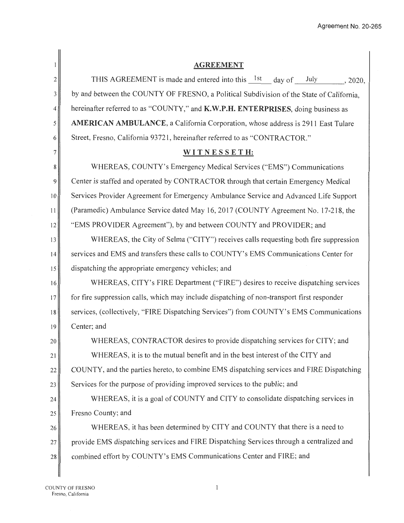|                | <b>AGREEMENT</b>                                                                           |  |  |
|----------------|--------------------------------------------------------------------------------------------|--|--|
| $\overline{c}$ | THIS AGREEMENT is made and entered into this $1st$ day of July 2020,                       |  |  |
| 3              | by and between the COUNTY OF FRESNO, a Political Subdivision of the State of California,   |  |  |
| 4              | hereinafter referred to as "COUNTY," and K.W.P.H. ENTERPRISES, doing business as           |  |  |
| 5              | <b>AMERICAN AMBULANCE</b> , a California Corporation, whose address is 2911 East Tulare    |  |  |
| 6              | Street, Fresno, California 93721, hereinafter referred to as "CONTRACTOR."                 |  |  |
| 7              | WITNESSETH:                                                                                |  |  |
| $\bf 8$        | WHEREAS, COUNTY's Emergency Medical Services ("EMS") Communications                        |  |  |
| 9              | Center is staffed and operated by CONTRACTOR through that certain Emergency Medical        |  |  |
| 10             | Services Provider Agreement for Emergency Ambulance Service and Advanced Life Support      |  |  |
| 11             | (Paramedic) Ambulance Service dated May 16, 2017 (COUNTY Agreement No. 17-218, the         |  |  |
| 12             | "EMS PROVIDER Agreement"), by and between COUNTY and PROVIDER; and                         |  |  |
| 13             | WHEREAS, the City of Selma ("CITY") receives calls requesting both fire suppression        |  |  |
| 14             | services and EMS and transfers these calls to COUNTY's EMS Communications Center for       |  |  |
| 15             | dispatching the appropriate emergency vehicles; and                                        |  |  |
| 16             | WHEREAS, CITY's FIRE Department ("FIRE") desires to receive dispatching services           |  |  |
| 17             | for fire suppression calls, which may include dispatching of non-transport first responder |  |  |
| 18             | services, (collectively, "FIRE Dispatching Services") from COUNTY's EMS Communications     |  |  |
| 19             | Center; and                                                                                |  |  |
| 20             | WHEREAS, CONTRACTOR desires to provide dispatching services for CITY; and                  |  |  |
| 21             | WHEREAS, it is to the mutual benefit and in the best interest of the CITY and              |  |  |
| 22             | COUNTY, and the parties hereto, to combine EMS dispatching services and FIRE Dispatching   |  |  |
| 23             | Services for the purpose of providing improved services to the public; and                 |  |  |
| 24             | WHEREAS, it is a goal of COUNTY and CITY to consolidate dispatching services in            |  |  |
| 25             | Fresno County; and                                                                         |  |  |
| 26             | WHEREAS, it has been determined by CITY and COUNTY that there is a need to                 |  |  |
| 27             | provide EMS dispatching services and FIRE Dispatching Services through a centralized and   |  |  |
| 28             | combined effort by COUNTY's EMS Communications Center and FIRE; and                        |  |  |
|                |                                                                                            |  |  |

 $\,1\,$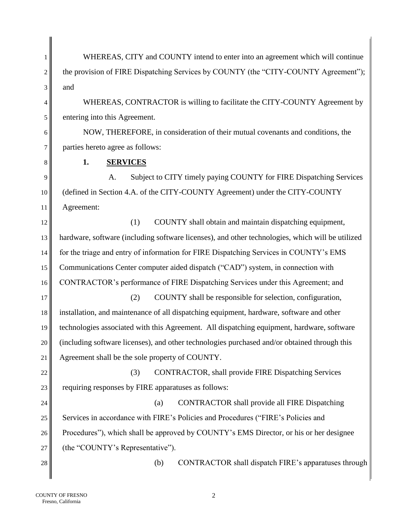1 WHEREAS, CITY and COUNTY intend to enter into an agreement which will continue  $2 \parallel$  the provision of FIRE Dispatching Services by COUNTY (the "CITY-COUNTY Agreement");  $3$  and

4 WHEREAS, CONTRACTOR is willing to facilitate the CITY-COUNTY Agreement by  $5 \parallel$  entering into this Agreement.

6 NOW, THEREFORE, in consideration of their mutual covenants and conditions, the 7 parties hereto agree as follows:

8 **1. SERVICES**

9 A. Subject to CITY timely paying COUNTY for FIRE Dispatching Services 10 (defined in Section 4.A. of the CITY-COUNTY Agreement) under the CITY-COUNTY 11 Agreement:

12 (1) COUNTY shall obtain and maintain dispatching equipment, 13 hardware, software (including software licenses), and other technologies, which will be utilized 14 for the triage and entry of information for FIRE Dispatching Services in COUNTY's EMS 15 Communications Center computer aided dispatch ("CAD") system, in connection with 16 CONTRACTOR's performance of FIRE Dispatching Services under this Agreement; and

17 (2) COUNTY shall be responsible for selection, configuration, 18 installation, and maintenance of all dispatching equipment, hardware, software and other 19 technologies associated with this Agreement. All dispatching equipment, hardware, software 20 (including software licenses), and other technologies purchased and/or obtained through this 21 Agreement shall be the sole property of COUNTY.

22 (3) CONTRACTOR, shall provide FIRE Dispatching Services 23  $\parallel$  requiring responses by FIRE apparatuses as follows:

24 || (a) CONTRACTOR shall provide all FIRE Dispatching 25 Services in accordance with FIRE's Policies and Procedures ("FIRE's Policies and 26 Procedures"), which shall be approved by COUNTY's EMS Director, or his or her designee 27 (the "COUNTY's Representative").

 $28$   $\parallel$  (b) CONTRACTOR shall dispatch FIRE's apparatuses through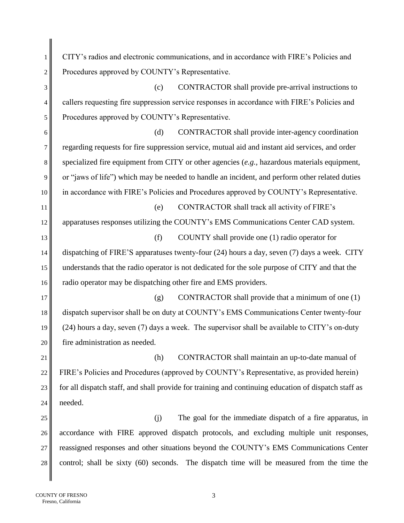1 CITY's radios and electronic communications, and in accordance with FIRE's Policies and 2 Procedures approved by COUNTY's Representative.  $3 \parallel$  (c) CONTRACTOR shall provide pre-arrival instructions to 4 callers requesting fire suppression service responses in accordance with FIRE's Policies and 5 Procedures approved by COUNTY's Representative. 6 (d) CONTRACTOR shall provide inter-agency coordination 7 regarding requests for fire suppression service, mutual aid and instant aid services, and order 8 specialized fire equipment from CITY or other agencies (*e.g.,* hazardous materials equipment, 9 or "jaws of life") which may be needed to handle an incident, and perform other related duties 10 in accordance with FIRE's Policies and Procedures approved by COUNTY's Representative. 11 (e) CONTRACTOR shall track all activity of FIRE's 12 apparatuses responses utilizing the COUNTY's EMS Communications Center CAD system. 13 (f) COUNTY shall provide one (1) radio operator for 14 dispatching of FIRE'S apparatuses twenty-four (24) hours a day, seven (7) days a week. CITY 15 understands that the radio operator is not dedicated for the sole purpose of CITY and that the 16 **radio operator may be dispatching other fire and EMS providers.** 17  $\parallel$  (g) CONTRACTOR shall provide that a minimum of one (1) 18 dispatch supervisor shall be on duty at COUNTY's EMS Communications Center twenty-four 19  $\parallel$  (24) hours a day, seven (7) days a week. The supervisor shall be available to CITY's on-duty 20 fire administration as needed. 21 (h) CONTRACTOR shall maintain an up-to-date manual of 22 FIRE's Policies and Procedures (approved by COUNTY's Representative, as provided herein) 23  $\parallel$  for all dispatch staff, and shall provide for training and continuing education of dispatch staff as 24  $\parallel$  needed.  $25$  (i) The goal for the immediate dispatch of a fire apparatus, in 26 accordance with FIRE approved dispatch protocols, and excluding multiple unit responses, 27 reassigned responses and other situations beyond the COUNTY's EMS Communications Center 28 control; shall be sixty (60) seconds. The dispatch time will be measured from the time the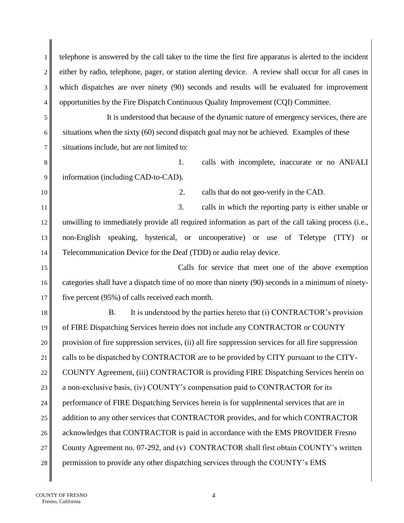1 telephone is answered by the call taker to the time the first fire apparatus is alerted to the incident 2 either by radio, telephone, pager, or station alerting device. A review shall occur for all cases in 3 which dispatches are over ninety (90) seconds and results will be evaluated for improvement  $4 \parallel$  opportunities by the Fire Dispatch Continuous Quality Improvement (CQI) Committee.

5 It is understood that because of the dynamic nature of emergency services, there are 6 situations when the sixty  $(60)$  second dispatch goal may not be achieved. Examples of these 7 situations include, but are not limited to:

8 1. calls with incomplete, inaccurate or no ANI/ALI 9 information (including CAD-to-CAD).

10 || 2. calls that do not geo-verify in the CAD.

11 || 12 unwilling to immediately provide all required information as part of the call taking process (i.e., 13 non-English speaking, hysterical, or uncooperative) or use of Teletype (TTY) or 14 Telecommunication Device for the Deaf (TDD) or audio relay device.

15 Calls for service that meet one of the above exemption 16 categories shall have a dispatch time of no more than ninety (90) seconds in a minimum of ninety-17 five percent (95%) of calls received each month.

18  $\parallel$  B. It is understood by the parties hereto that (i) CONTRACTOR's provision 19 of FIRE Dispatching Services herein does not include any CONTRACTOR or COUNTY 20 provision of fire suppression services, (ii) all fire suppression services for all fire suppression 21 calls to be dispatched by CONTRACTOR are to be provided by CITY pursuant to the CITY-22 COUNTY Agreement, (iii) CONTRACTOR is providing FIRE Dispatching Services herein on 23  $\parallel$  a non-exclusive basis, (iv) COUNTY's compensation paid to CONTRACTOR for its 24 performance of FIRE Dispatching Services herein is for supplemental services that are in 25 diam 25 diam 25 diam 25 diam 25 diam 25 diam 25 diam 25 diam 26 diam 26 diam 26 diam 26 diam 26 diam 26 diam 26 diam 26 diam 26 diam 26 diam 26 diam 26 diam 26 diam 26 diam 26 diam 26 diam 26 diam 26 diam 26 diam 26 dia 26 acknowledges that CONTRACTOR is paid in accordance with the EMS PROVIDER Fresno 27 County Agreement no. 07-292, and (v) CONTRACTOR shall first obtain COUNTY's written 28 permission to provide any other dispatching services through the COUNTY's EMS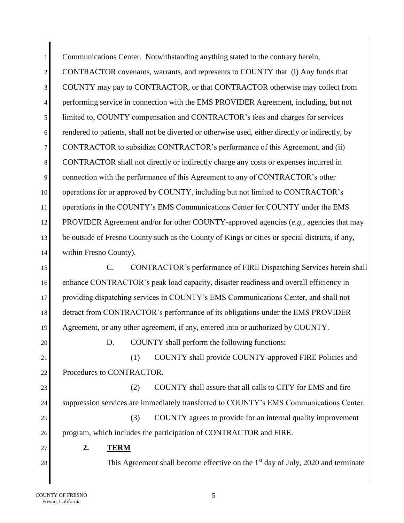1 Communications Center. Notwithstanding anything stated to the contrary herein, 2 CONTRACTOR covenants, warrants, and represents to COUNTY that (i) Any funds that 3 COUNTY may pay to CONTRACTOR, or that CONTRACTOR otherwise may collect from 4 performing service in connection with the EMS PROVIDER Agreement, including, but not 5 limited to, COUNTY compensation and CONTRACTOR's fees and charges for services 6 rendered to patients, shall not be diverted or otherwise used, either directly or indirectly, by 7 CONTRACTOR to subsidize CONTRACTOR's performance of this Agreement, and (ii) 8 CONTRACTOR shall not directly or indirectly charge any costs or expenses incurred in 9 connection with the performance of this Agreement to any of CONTRACTOR's other 10 operations for or approved by COUNTY, including but not limited to CONTRACTOR's 11 operations in the COUNTY's EMS Communications Center for COUNTY under the EMS 12 PROVIDER Agreement and/or for other COUNTY-approved agencies (*e.g.,* agencies that may 13 be outside of Fresno County such as the County of Kings or cities or special districts, if any, 14 within Fresno County). 15 C. CONTRACTOR's performance of FIRE Dispatching Services herein shall

16 enhance CONTRACTOR's peak load capacity, disaster readiness and overall efficiency in 17 providing dispatching services in COUNTY's EMS Communications Center, and shall not 18 detract from CONTRACTOR's performance of its obligations under the EMS PROVIDER 19 Agreement, or any other agreement, if any, entered into or authorized by COUNTY.

 $20$  D. COUNTY shall perform the following functions:

21 (1) COUNTY shall provide COUNTY-approved FIRE Policies and 22 Procedures to CONTRACTOR.

23 (2) COUNTY shall assure that all calls to CITY for EMS and fire 24 suppression services are immediately transferred to COUNTY's EMS Communications Center.  $25$  (3) COUNTY agrees to provide for an internal quality improvement 26 program, which includes the participation of CONTRACTOR and FIRE.

27 **2. TERM**

28 This Agreement shall become effective on the  $1<sup>st</sup>$  day of July, 2020 and terminate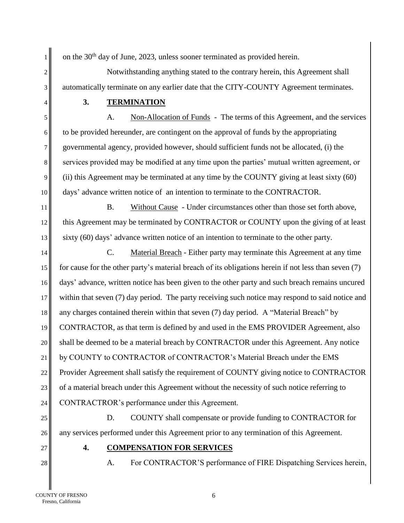1 on the 30<sup>th</sup> day of June, 2023, unless sooner terminated as provided herein.

2<sup>|</sup> Notwithstanding anything stated to the contrary herein, this Agreement shall 3 automatically terminate on any earlier date that the CITY-COUNTY Agreement terminates.

4 **3. TERMINATION**

5 A. Non-Allocation of Funds - The terms of this Agreement, and the services 6 to be provided hereunder, are contingent on the approval of funds by the appropriating 7 governmental agency, provided however, should sufficient funds not be allocated, (i) the 8 services provided may be modified at any time upon the parties' mutual written agreement, or 9 (ii) this Agreement may be terminated at any time by the COUNTY giving at least sixty  $(60)$ 10 days' advance written notice of an intention to terminate to the CONTRACTOR.

11 B. Without Cause - Under circumstances other than those set forth above, 12 this Agreement may be terminated by CONTRACTOR or COUNTY upon the giving of at least 13 sixty (60) days' advance written notice of an intention to terminate to the other party.

14 C. Material Breach - Either party may terminate this Agreement at any time 15 for cause for the other party's material breach of its obligations herein if not less than seven  $(7)$ 16 days' advance, written notice has been given to the other party and such breach remains uncured 17 within that seven (7) day period. The party receiving such notice may respond to said notice and 18 any charges contained therein within that seven (7) day period. A "Material Breach" by 19 CONTRACTOR, as that term is defined by and used in the EMS PROVIDER Agreement, also 20 shall be deemed to be a material breach by CONTRACTOR under this Agreement. Any notice 21 by COUNTY to CONTRACTOR of CONTRACTOR's Material Breach under the EMS 22 Provider Agreement shall satisfy the requirement of COUNTY giving notice to CONTRACTOR 23 of a material breach under this Agreement without the necessity of such notice referring to 24 CONTRACTROR's performance under this Agreement.

25 D. COUNTY shall compensate or provide funding to CONTRACTOR for 26 any services performed under this Agreement prior to any termination of this Agreement.

- 27 **4. COMPENSATION FOR SERVICES**
- 
- 28 A. For CONTRACTOR'S performance of FIRE Dispatching Services herein,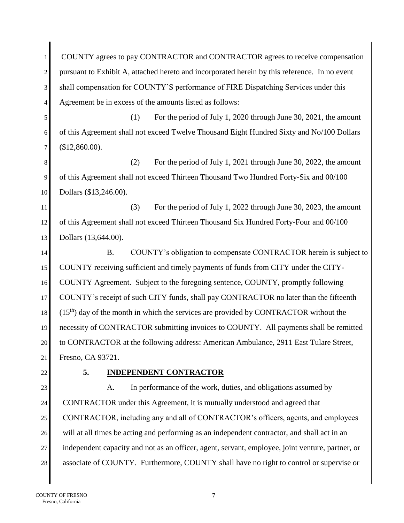1 COUNTY agrees to pay CONTRACTOR and CONTRACTOR agrees to receive compensation  $2 \parallel$  pursuant to Exhibit A, attached hereto and incorporated herein by this reference. In no event 3 shall compensation for COUNTY'S performance of FIRE Dispatching Services under this 4 Agreement be in excess of the amounts listed as follows:

5 (1) For the period of July 1, 2020 through June 30, 2021, the amount 6 of this Agreement shall not exceed Twelve Thousand Eight Hundred Sixty and No/100 Dollars  $7 \parallel$  (\$12,860.00).

 $8 \parallel$  (2) For the period of July 1, 2021 through June 30, 2022, the amount 9 of this Agreement shall not exceed Thirteen Thousand Two Hundred Forty-Six and 00/100 10 Dollars (\$13,246.00).

11 (3) For the period of July 1, 2022 through June 30, 2023, the amount 12 of this Agreement shall not exceed Thirteen Thousand Six Hundred Forty-Four and 00/100 13 Dollars (13,644.00).

14 B. COUNTY's obligation to compensate CONTRACTOR herein is subject to 15 COUNTY receiving sufficient and timely payments of funds from CITY under the CITY-16 COUNTY Agreement. Subject to the foregoing sentence, COUNTY, promptly following 17 COUNTY's receipt of such CITY funds, shall pay CONTRACTOR no later than the fifteenth  $18$   $\parallel$  (15<sup>th</sup>) day of the month in which the services are provided by CONTRACTOR without the 19 necessity of CONTRACTOR submitting invoices to COUNTY. All payments shall be remitted 20 to CONTRACTOR at the following address: American Ambulance, 2911 East Tulare Street, 21 Fresno, CA 93721.

# 22 **5. INDEPENDENT CONTRACTOR**

23 A. In performance of the work, duties, and obligations assumed by 24 CONTRACTOR under this Agreement, it is mutually understood and agreed that 25 CONTRACTOR, including any and all of CONTRACTOR's officers, agents, and employees 26 will at all times be acting and performing as an independent contractor, and shall act in an 27 independent capacity and not as an officer, agent, servant, employee, joint venture, partner, or 28 associate of COUNTY. Furthermore, COUNTY shall have no right to control or supervise or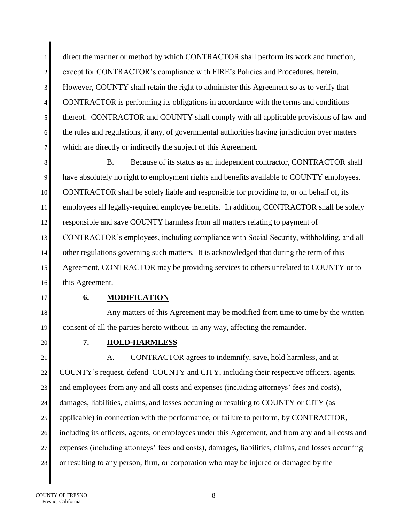1 direct the manner or method by which CONTRACTOR shall perform its work and function, 2 except for CONTRACTOR's compliance with FIRE's Policies and Procedures, herein. 3 However, COUNTY shall retain the right to administer this Agreement so as to verify that 4 CONTRACTOR is performing its obligations in accordance with the terms and conditions 5 thereof. CONTRACTOR and COUNTY shall comply with all applicable provisions of law and  $6 \parallel$  the rules and regulations, if any, of governmental authorities having jurisdiction over matters 7 which are directly or indirectly the subject of this Agreement.

8 B. Because of its status as an independent contractor, CONTRACTOR shall 9 have absolutely no right to employment rights and benefits available to COUNTY employees. 10 CONTRACTOR shall be solely liable and responsible for providing to, or on behalf of, its 11 employees all legally-required employee benefits. In addition, CONTRACTOR shall be solely 12 responsible and save COUNTY harmless from all matters relating to payment of 13 CONTRACTOR's employees, including compliance with Social Security, withholding, and all 14 other regulations governing such matters. It is acknowledged that during the term of this 15 Agreement, CONTRACTOR may be providing services to others unrelated to COUNTY or to 16 this Agreement.

# 17 **6. MODIFICATION**

18 Any matters of this Agreement may be modified from time to time by the written 19 consent of all the parties hereto without, in any way, affecting the remainder.

# 20 **7. HOLD-HARMLESS**

21 A. CONTRACTOR agrees to indemnify, save, hold harmless, and at  $22 \parallel$  COUNTY's request, defend COUNTY and CITY, including their respective officers, agents, 23 and employees from any and all costs and expenses (including attorneys' fees and costs), 24 damages, liabilities, claims, and losses occurring or resulting to COUNTY or CITY (as 25 applicable) in connection with the performance, or failure to perform, by CONTRACTOR, 26 including its officers, agents, or employees under this Agreement, and from any and all costs and 27 expenses (including attorneys' fees and costs), damages, liabilities, claims, and losses occurring 28 or resulting to any person, firm, or corporation who may be injured or damaged by the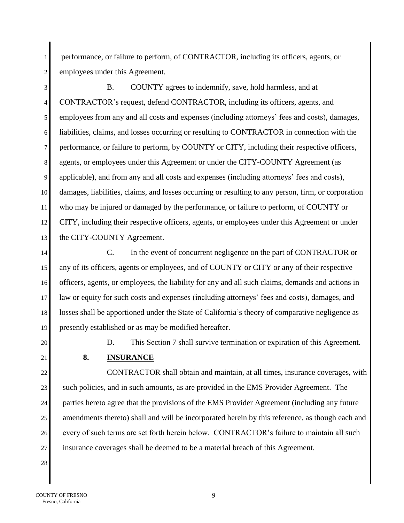1 performance, or failure to perform, of CONTRACTOR, including its officers, agents, or 2 employees under this Agreement.

 B. COUNTY agrees to indemnify, save, hold harmless, and at CONTRACTOR's request, defend CONTRACTOR, including its officers, agents, and employees from any and all costs and expenses (including attorneys' fees and costs), damages, liabilities, claims, and losses occurring or resulting to CONTRACTOR in connection with the performance, or failure to perform, by COUNTY or CITY, including their respective officers, 8 agents, or employees under this Agreement or under the CITY-COUNTY Agreement (as 9 applicable), and from any and all costs and expenses (including attorneys' fees and costs), damages, liabilities, claims, and losses occurring or resulting to any person, firm, or corporation who may be injured or damaged by the performance, or failure to perform, of COUNTY or CITY, including their respective officers, agents, or employees under this Agreement or under 13 the CITY-COUNTY Agreement.

14 C. In the event of concurrent negligence on the part of CONTRACTOR or any of its officers, agents or employees, and of COUNTY or CITY or any of their respective 16 officers, agents, or employees, the liability for any and all such claims, demands and actions in law or equity for such costs and expenses (including attorneys' fees and costs), damages, and losses shall be apportioned under the State of California's theory of comparative negligence as presently established or as may be modified hereafter.

20 D. This Section 7 shall survive termination or expiration of this Agreement.

# 21 **8. INSURANCE**

22 CONTRACTOR shall obtain and maintain, at all times, insurance coverages, with 23 such policies, and in such amounts, as are provided in the EMS Provider Agreement. The 24 parties hereto agree that the provisions of the EMS Provider Agreement (including any future  $25$  amendments thereto) shall and will be incorporated herein by this reference, as though each and 26 every of such terms are set forth herein below. CONTRACTOR's failure to maintain all such 27 insurance coverages shall be deemed to be a material breach of this Agreement.

28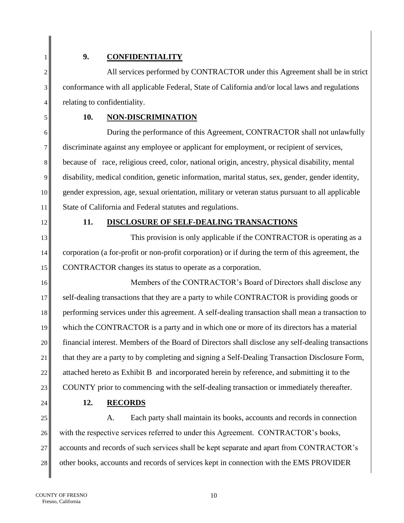# 1 **9. CONFIDENTIALITY**

2<sup>|</sup> All services performed by CONTRACTOR under this Agreement shall be in strict 3 conformance with all applicable Federal, State of California and/or local laws and regulations 4 relating to confidentiality.

# 5 **10. NON-DISCRIMINATION**

 During the performance of this Agreement, CONTRACTOR shall not unlawfully discriminate against any employee or applicant for employment, or recipient of services, because of race, religious creed, color, national origin, ancestry, physical disability, mental 9 disability, medical condition, genetic information, marital status, sex, gender, gender identity, gender expression, age, sexual orientation, military or veteran status pursuant to all applicable 11 State of California and Federal statutes and regulations.

# 12 **11. DISCLOSURE OF SELF-DEALING TRANSACTIONS**

13 This provision is only applicable if the CONTRACTOR is operating as a 14 corporation (a for-profit or non-profit corporation) or if during the term of this agreement, the 15 CONTRACTOR changes its status to operate as a corporation.

16 Members of the CONTRACTOR's Board of Directors shall disclose any 17 self-dealing transactions that they are a party to while CONTRACTOR is providing goods or 18 performing services under this agreement. A self-dealing transaction shall mean a transaction to 19 which the CONTRACTOR is a party and in which one or more of its directors has a material 20 financial interest. Members of the Board of Directors shall disclose any self-dealing transactions 21 that they are a party to by completing and signing a Self-Dealing Transaction Disclosure Form, 22 attached hereto as Exhibit B and incorporated herein by reference, and submitting it to the 23 COUNTY prior to commencing with the self-dealing transaction or immediately thereafter.

24 **12. RECORDS**

25 A. Each party shall maintain its books, accounts and records in connection 26 with the respective services referred to under this Agreement. CONTRACTOR's books, 27 accounts and records of such services shall be kept separate and apart from CONTRACTOR's 28 other books, accounts and records of services kept in connection with the EMS PROVIDER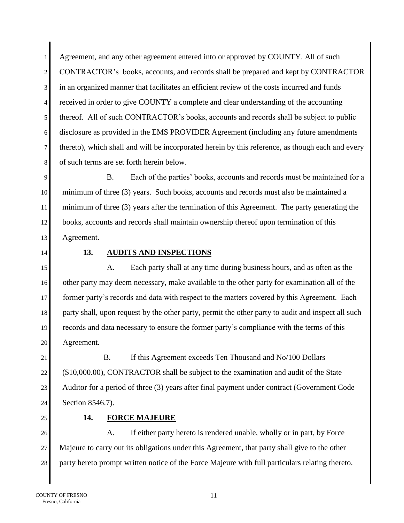1 Agreement, and any other agreement entered into or approved by COUNTY. All of such 2 CONTRACTOR's books, accounts, and records shall be prepared and kept by CONTRACTOR 3 in an organized manner that facilitates an efficient review of the costs incurred and funds 4 received in order to give COUNTY a complete and clear understanding of the accounting 5 thereof. All of such CONTRACTOR's books, accounts and records shall be subject to public 6 disclosure as provided in the EMS PROVIDER Agreement (including any future amendments 7 thereto), which shall and will be incorporated herein by this reference, as though each and every 8 of such terms are set forth herein below.

9|| B. Each of the parties' books, accounts and records must be maintained for a 10 minimum of three (3) years. Such books, accounts and records must also be maintained a 11 minimum of three (3) years after the termination of this Agreement. The party generating the 12 books, accounts and records shall maintain ownership thereof upon termination of this 13 Agreement.

## 14 **13. AUDITS AND INSPECTIONS**

15 A. Each party shall at any time during business hours, and as often as the 16 other party may deem necessary, make available to the other party for examination all of the 17 former party's records and data with respect to the matters covered by this Agreement. Each 18 party shall, upon request by the other party, permit the other party to audit and inspect all such 19 records and data necessary to ensure the former party's compliance with the terms of this 20 || Agreement.

21 B. If this Agreement exceeds Ten Thousand and No/100 Dollars 22 (\$10,000.00), CONTRACTOR shall be subject to the examination and audit of the State 23 Auditor for a period of three (3) years after final payment under contract (Government Code 24 | Section 8546.7).

# 25 **14. FORCE MAJEURE**

26 A. If either party hereto is rendered unable, wholly or in part, by Force 27 Majeure to carry out its obligations under this Agreement, that party shall give to the other 28 party hereto prompt written notice of the Force Majeure with full particulars relating thereto.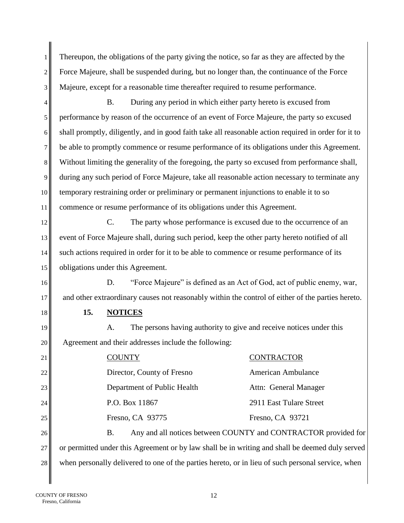1. Thereupon, the obligations of the party giving the notice, so far as they are affected by the 2 Force Majeure, shall be suspended during, but no longer than, the continuance of the Force 3 Majeure, except for a reasonable time thereafter required to resume performance.

4 B. During any period in which either party hereto is excused from performance by reason of the occurrence of an event of Force Majeure, the party so excused shall promptly, diligently, and in good faith take all reasonable action required in order for it to be able to promptly commence or resume performance of its obligations under this Agreement. 8<sup> $\parallel$ </sup> Without limiting the generality of the foregoing, the party so excused from performance shall, during any such period of Force Majeure, take all reasonable action necessary to terminate any 10 temporary restraining order or preliminary or permanent injunctions to enable it to so commence or resume performance of its obligations under this Agreement.

12 C. The party whose performance is excused due to the occurrence of an 13 event of Force Majeure shall, during such period, keep the other party hereto notified of all 14 such actions required in order for it to be able to commence or resume performance of its 15 obligations under this Agreement.

16 D. "Force Majeure" is defined as an Act of God, act of public enemy, war, 17 and other extraordinary causes not reasonably within the control of either of the parties hereto.

18 **15. NOTICES**

19 A. The persons having authority to give and receive notices under this 20 Agreement and their addresses include the following:

| 21 $\parallel$ | <b>COUNTY</b>               | <b>CONTRACTOR</b>                                              |
|----------------|-----------------------------|----------------------------------------------------------------|
| 22             | Director, County of Fresno  | <b>American Ambulance</b>                                      |
| 23             | Department of Public Health | Attn: General Manager                                          |
| 24             | P.O. Box 11867              | 2911 East Tulare Street                                        |
| 25             | Fresno, CA 93775            | Fresno, CA 93721                                               |
| 26             | Β.                          | Any and all notices between COUNTY and CONTRACTOR provided for |

27 or permitted under this Agreement or by law shall be in writing and shall be deemed duly served 28 when personally delivered to one of the parties hereto, or in lieu of such personal service, when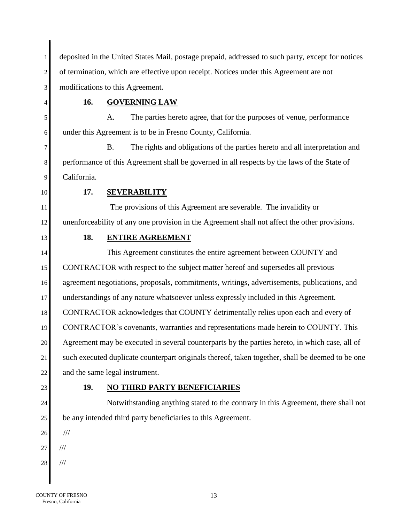deposited in the United States Mail, postage prepaid, addressed to such party, except for notices 2<sup> $\parallel$ </sup> of termination, which are effective upon receipt. Notices under this Agreement are not 3 modifications to this Agreement.

**16. GOVERNING LAW**

 A. The parties hereto agree, that for the purposes of venue, performance under this Agreement is to be in Fresno County, California.

 B. The rights and obligations of the parties hereto and all interpretation and performance of this Agreement shall be governed in all respects by the laws of the State of 9 California.

**17. SEVERABILITY**

11 The provisions of this Agreement are severable. The invalidity or unenforceability of any one provision in the Agreement shall not affect the other provisions.

# **18. ENTIRE AGREEMENT**

14 This Agreement constitutes the entire agreement between COUNTY and CONTRACTOR with respect to the subject matter hereof and supersedes all previous agreement negotiations, proposals, commitments, writings, advertisements, publications, and 17 understandings of any nature whatsoever unless expressly included in this Agreement. CONTRACTOR acknowledges that COUNTY detrimentally relies upon each and every of CONTRACTOR's covenants, warranties and representations made herein to COUNTY. This Agreement may be executed in several counterparts by the parties hereto, in which case, all of 21 such executed duplicate counterpart originals thereof, taken together, shall be deemed to be one and the same legal instrument.

# **19. NO THIRD PARTY BENEFICIARIES**

24 Notwithstanding anything stated to the contrary in this Agreement, there shall not be any intended third party beneficiaries to this Agreement.

- ///
- $1/1$
- ///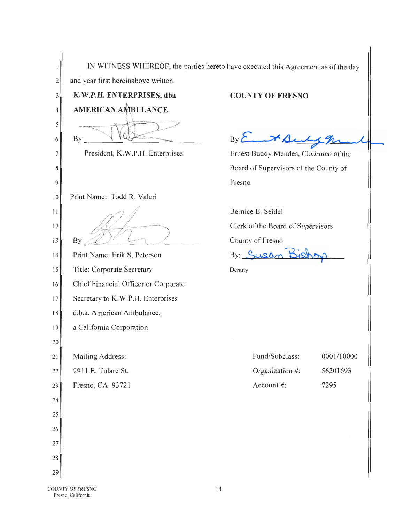|        |                                                        | IN WITNESS WHEREOF, the parties hereto have executed this Agreement as of the day |  |
|--------|--------------------------------------------------------|-----------------------------------------------------------------------------------|--|
| 2      | and year first hereinabove written.                    |                                                                                   |  |
| 3      | K.W.P.H. ENTERPRISES, dba<br><b>AMERICAN AMBULANCE</b> | <b>COUNTY OF FRESNO</b>                                                           |  |
| 4      |                                                        |                                                                                   |  |
| 5<br>6 | <b>By</b>                                              | $By \n\sum\nx b$                                                                  |  |
| 7      | President, K.W.P.H. Enterprises                        | Ernest Buddy Mendes, Chairman of the                                              |  |
| 8      |                                                        | Board of Supervisors of the County of                                             |  |
| 9      |                                                        | Fresno                                                                            |  |
| 10     | Print Name: Todd R. Valeri                             |                                                                                   |  |
| 11     |                                                        | Bernice E. Seidel                                                                 |  |
| 12     |                                                        | Clerk of the Board of Supervisors                                                 |  |
| 13     | By                                                     | County of Fresno                                                                  |  |
| 14     | Print Name: Erik S. Peterson                           | By: Susan Bis                                                                     |  |
| 15     | Title: Corporate Secretary                             | Deputy                                                                            |  |
| 16     | Chief Financial Officer or Corporate                   |                                                                                   |  |
| 17     | Secretary to K.W.P.H. Enterprises                      |                                                                                   |  |
| 18     | d.b.a. American Ambulance,                             |                                                                                   |  |
| 19     | a California Corporation                               |                                                                                   |  |
| 20     |                                                        |                                                                                   |  |
| 21     | Mailing Address:                                       | 0001/10000<br>Fund/Subclass:                                                      |  |
| 22     | 2911 E. Tulare St.                                     | Organization #:<br>56201693                                                       |  |
| 23     | Fresno, CA 93721                                       | Account #:<br>7295                                                                |  |
| 24     |                                                        |                                                                                   |  |
| 25     |                                                        |                                                                                   |  |
| 26     |                                                        |                                                                                   |  |
| 27     |                                                        |                                                                                   |  |
| 28     |                                                        |                                                                                   |  |
| 29     |                                                        |                                                                                   |  |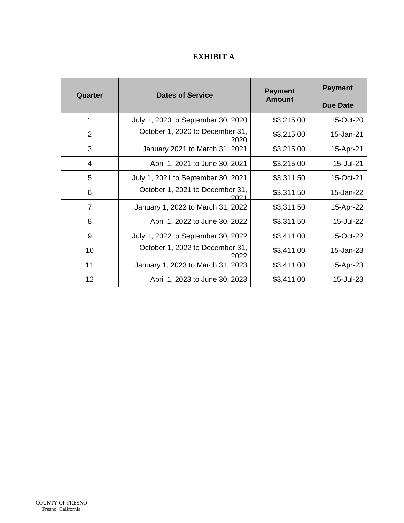# **EXHIBIT A**

| Quarter        | <b>Dates of Service</b>                 | <b>Payment</b><br><b>Amount</b> | <b>Payment</b><br><b>Due Date</b> |
|----------------|-----------------------------------------|---------------------------------|-----------------------------------|
| 1              | July 1, 2020 to September 30, 2020      | \$3,215.00                      | 15-Oct-20                         |
| $\overline{2}$ | October 1, 2020 to December 31,<br>2020 | \$3,215.00                      | 15-Jan-21                         |
| 3              | January 2021 to March 31, 2021          | \$3,215.00                      | 15-Apr-21                         |
| $\overline{4}$ | April 1, 2021 to June 30, 2021          | \$3,215.00                      | 15-Jul-21                         |
| 5              | July 1, 2021 to September 30, 2021      | \$3,311.50                      | 15-Oct-21                         |
| 6              | October 1, 2021 to December 31,<br>ימחכ | \$3,311.50                      | 15-Jan-22                         |
| $\overline{7}$ | January 1, 2022 to March 31, 2022       | \$3,311.50                      | 15-Apr-22                         |
| 8              | April 1, 2022 to June 30, 2022          | \$3,311.50                      | 15-Jul-22                         |
| 9              | July 1, 2022 to September 30, 2022      | \$3,411.00                      | 15-Oct-22                         |
| 10             | October 1, 2022 to December 31,         | \$3,411.00                      | 15-Jan-23                         |
| 11             | January 1, 2023 to March 31, 2023       | \$3,411.00                      | 15-Apr-23                         |
| 12             | April 1, 2023 to June 30, 2023          | \$3,411.00                      | 15-Jul-23                         |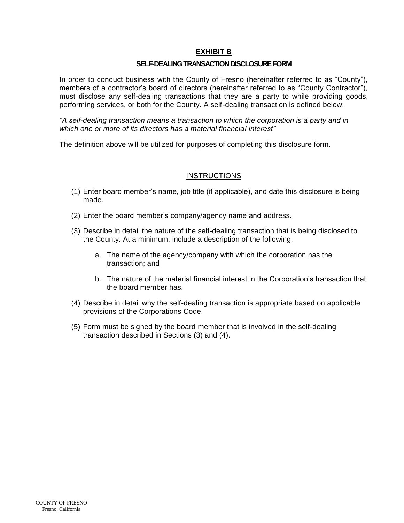### **EXHIBIT B**

#### **SELF-DEALING TRANSACTION DISCLOSURE FORM**

In order to conduct business with the County of Fresno (hereinafter referred to as "County"), members of a contractor's board of directors (hereinafter referred to as "County Contractor"), must disclose any self-dealing transactions that they are a party to while providing goods, performing services, or both for the County. A self-dealing transaction is defined below:

*"A self-dealing transaction means a transaction to which the corporation is a party and in which one or more of its directors has a material financial interest"* 

The definition above will be utilized for purposes of completing this disclosure form.

#### **INSTRUCTIONS**

- (1) Enter board member's name, job title (if applicable), and date this disclosure is being made.
- (2) Enter the board member's company/agency name and address.
- (3) Describe in detail the nature of the self-dealing transaction that is being disclosed to the County. At a minimum, include a description of the following:
	- a. The name of the agency/company with which the corporation has the transaction; and
	- b. The nature of the material financial interest in the Corporation's transaction that the board member has.
- (4) Describe in detail why the self-dealing transaction is appropriate based on applicable provisions of the Corporations Code.
- (5) Form must be signed by the board member that is involved in the self-dealing transaction described in Sections (3) and (4).